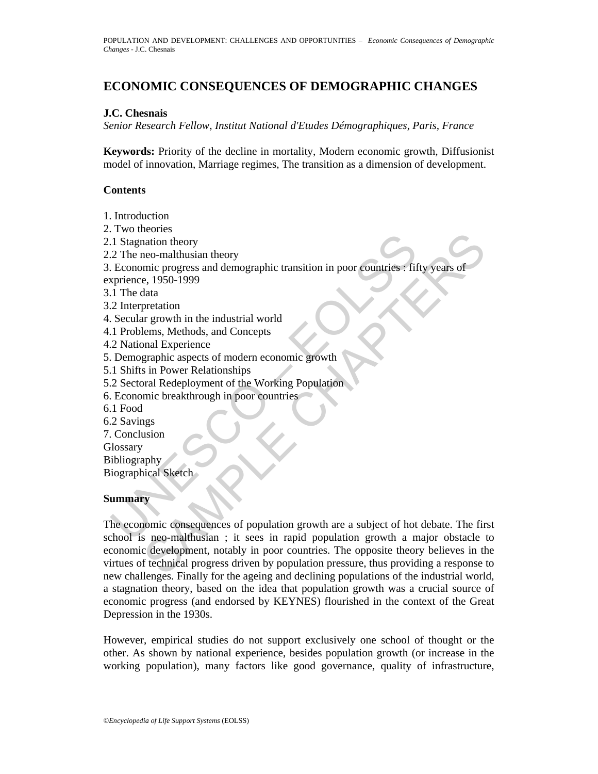# **ECONOMIC CONSEQUENCES OF DEMOGRAPHIC CHANGES**

### **J.C. Chesnais**

*Senior Research Fellow, Institut National d'Etudes Démographiques, Paris, France* 

**Keywords:** Priority of the decline in mortality, Modern economic growth, Diffusionist model of innovation, Marriage regimes, The transition as a dimension of development.

#### **Contents**

1. Introduction

- 2. Two theories
- 2.1 Stagnation theory
- 2.2 The neo-malthusian theory

1 Stagnation theory<br>
2 The neo-malthusian theory<br>
2 The neo-malthusian theory<br>
2 The neo-malthusian theory<br>
Economic progress and demographic transition in poor countries : fit<br>
1 The data<br>
2 Interpretation<br>
2 National Exp 3. Economic progress and demographic transition in poor countries : fifty years of exprience, 1950-1999

- 3.1 The data
- 3.2 Interpretation
- 4. Secular growth in the industrial world
- 4.1 Problems, Methods, and Concepts
- 4.2 National Experience
- 5. Demographic aspects of modern economic growth
- 5.1 Shifts in Power Relationships
- 5.2 Sectoral Redeployment of the Working Population
- 6. Economic breakthrough in poor countries
- 6.1 Food
- 6.2 Savings
- 7. Conclusion
- **Glossary**

Bibliography

Biographical Sketch

### **Summary**

Example progress and demographic transition in poor countries : fifty years of<br>micion theory is continued transition in poor countries : fifty years of<br>e, 1950-1999<br>thata<br>thata<br>are graphic aspects of modern economic growth The economic consequences of population growth are a subject of hot debate. The first school is neo-malthusian ; it sees in rapid population growth a major obstacle to economic development, notably in poor countries. The opposite theory believes in the virtues of technical progress driven by population pressure, thus providing a response to new challenges. Finally for the ageing and declining populations of the industrial world, a stagnation theory, based on the idea that population growth was a crucial source of economic progress (and endorsed by KEYNES) flourished in the context of the Great Depression in the 1930s.

However, empirical studies do not support exclusively one school of thought or the other. As shown by national experience, besides population growth (or increase in the working population), many factors like good governance, quality of infrastructure,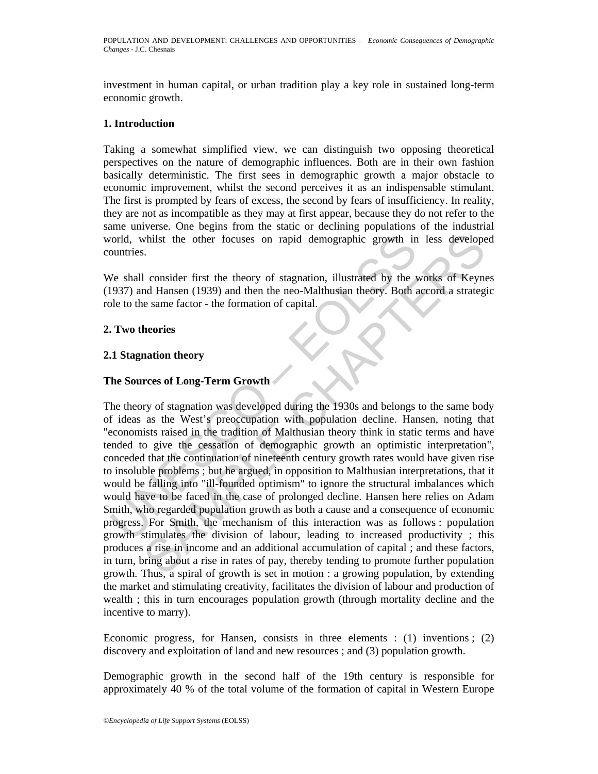investment in human capital, or urban tradition play a key role in sustained long-term economic growth.

# **1. Introduction**

Taking a somewhat simplified view, we can distinguish two opposing theoretical perspectives on the nature of demographic influences. Both are in their own fashion basically deterministic. The first sees in demographic growth a major obstacle to economic improvement, whilst the second perceives it as an indispensable stimulant. The first is prompted by fears of excess, the second by fears of insufficiency. In reality, they are not as incompatible as they may at first appear, because they do not refer to the same universe. One begins from the static or declining populations of the industrial world, whilst the other focuses on rapid demographic growth in less developed countries.

We shall consider first the theory of stagnation, illustrated by the works of Keynes (1937) and Hansen (1939) and then the neo-Malthusian theory. Both accord a strategic role to the same factor - the formation of capital.

#### **2. Two theories**

# **2.1 Stagnation theory**

# **The Sources of Long-Term Growth**

orld, whilst the other focuses on rapid demographic growth in<br>
wuntries.<br>
Ve shall consider first the theory of stagnation, illustrated by the 1937) and Hansen (1939) and then the neo-Malthusian theory. Both a<br>
ble to the Whilst the other focuses on rapid demographic growth in less developes.<br>
S.<br>
Consider first the theory of stagnation, illustrated by the works of Keyne<br>
d Hansen (1939) and then the neo-Malthusian theory. Both accord a str The theory of stagnation was developed during the 1930s and belongs to the same body of ideas as the West's preoccupation with population decline. Hansen, noting that "economists raised in the tradition of Malthusian theory think in static terms and have tended to give the cessation of demographic growth an optimistic interpretation", conceded that the continuation of nineteenth century growth rates would have given rise to insoluble problems ; but he argued, in opposition to Malthusian interpretations, that it would be falling into "ill-founded optimism" to ignore the structural imbalances which would have to be faced in the case of prolonged decline. Hansen here relies on Adam Smith, who regarded population growth as both a cause and a consequence of economic progress. For Smith, the mechanism of this interaction was as follows : population growth stimulates the division of labour, leading to increased productivity ; this produces a rise in income and an additional accumulation of capital ; and these factors, in turn, bring about a rise in rates of pay, thereby tending to promote further population growth. Thus, a spiral of growth is set in motion : a growing population, by extending the market and stimulating creativity, facilitates the division of labour and production of wealth ; this in turn encourages population growth (through mortality decline and the incentive to marry).

Economic progress, for Hansen, consists in three elements : (1) inventions ; (2) discovery and exploitation of land and new resources ; and (3) population growth.

Demographic growth in the second half of the 19th century is responsible for approximately 40 % of the total volume of the formation of capital in Western Europe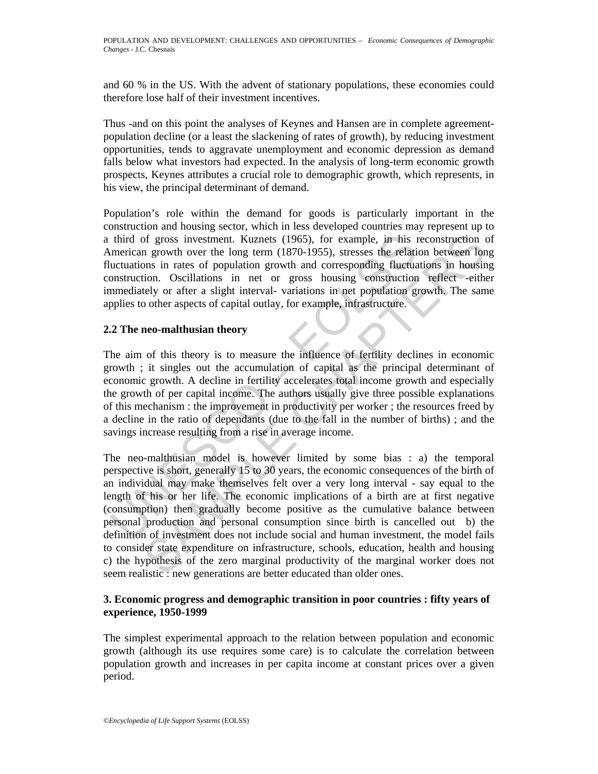and 60 % in the US. With the advent of stationary populations, these economies could therefore lose half of their investment incentives.

Thus -and on this point the analyses of Keynes and Hansen are in complete agreementpopulation decline (or a least the slackening of rates of growth), by reducing investment opportunities, tends to aggravate unemployment and economic depression as demand falls below what investors had expected. In the analysis of long-term economic growth prospects, Keynes attributes a crucial role to demographic growth, which represents, in his view, the principal determinant of demand.

Population's role within the demand for goods is particularly important in the construction and housing sector, which in less developed countries may represent up to a third of gross investment. Kuznets (1965), for example, in his reconstruction of American growth over the long term (1870-1955), stresses the relation between long fluctuations in rates of population growth and corresponding fluctuations in housing construction. Oscillations in net or gross housing construction reflect -either immediately or after a slight interval- variations in net population growth. The same applies to other aspects of capital outlay, for example, infrastructure.

# **2.2 The neo-malthusian theory**

third of gross investment. Kuznets (1965), for example, in his interican growth over the long term (1870-1955), stresses the relation than these of population growth and corresponding fluctuations in rates of population gr The aim of this theory is to measure the influence of fertility declines in economic growth ; it singles out the accumulation of capital as the principal determinant of economic growth. A decline in fertility accelerates total income growth and especially the growth of per capital income. The authors usually give three possible explanations of this mechanism : the improvement in productivity per worker ; the resources freed by a decline in the ratio of dependants (due to the fall in the number of births) ; and the savings increase resulting from a rise in average income.

of gross investment. Kuznets (1965), for example, in his reconstruction of<br>moreover over the long term (1870-1955), stresses the relation between lom<br>since are over the long term (1870-1955), stresses the relation between The neo-malthusian model is however limited by some bias : a) the temporal perspective is short, generally 15 to 30 years, the economic consequences of the birth of an individual may make themselves felt over a very long interval - say equal to the length of his or her life. The economic implications of a birth are at first negative (consumption) then gradually become positive as the cumulative balance between personal production and personal consumption since birth is cancelled out b) the definition of investment does not include social and human investment, the model fails to consider state expenditure on infrastructure, schools, education, health and housing c) the hypothesis of the zero marginal productivity of the marginal worker does not seem realistic : new generations are better educated than older ones.

# **3. Economic progress and demographic transition in poor countries : fifty years of experience, 1950-1999**

The simplest experimental approach to the relation between population and economic growth (although its use requires some care) is to calculate the correlation between population growth and increases in per capita income at constant prices over a given period.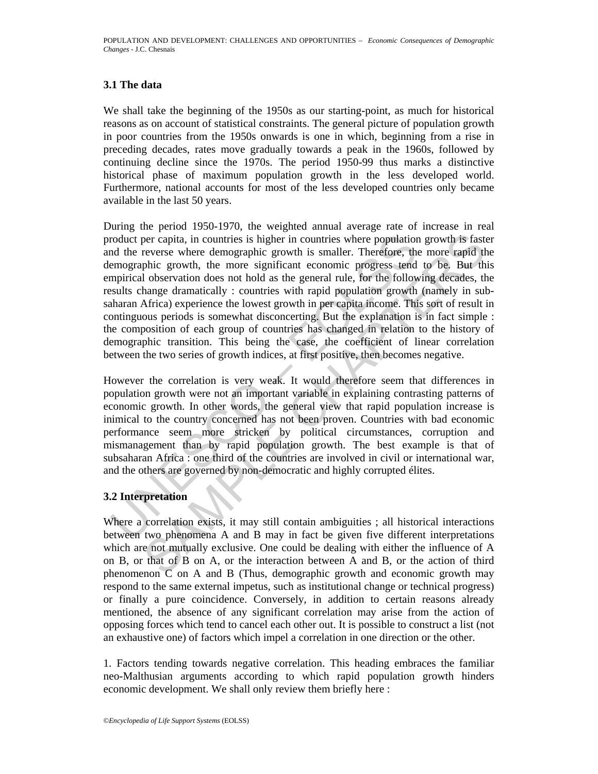# **3.1 The data**

We shall take the beginning of the 1950s as our starting-point, as much for historical reasons as on account of statistical constraints. The general picture of population growth in poor countries from the 1950s onwards is one in which, beginning from a rise in preceding decades, rates move gradually towards a peak in the 1960s, followed by continuing decline since the 1970s. The period 1950-99 thus marks a distinctive historical phase of maximum population growth in the less developed world. Furthermore, national accounts for most of the less developed countries only became available in the last 50 years.

roduct per capita, in countries is higher in countries where population<br>of the reverse where demographic growth is smaller. Therefore, the<br>mengraphic growth, the more significant economic progress tend<br>mpirical observation by capita, in countries is higher in countries where population growth is fast<br>reverse where demographic growth is smaller. Therefore, the more rapid th<br>phic growth, the more significant economic progress tend to be. But t During the period 1950-1970, the weighted annual average rate of increase in real product per capita, in countries is higher in countries where population growth is faster and the reverse where demographic growth is smaller. Therefore, the more rapid the demographic growth, the more significant economic progress tend to be. But this empirical observation does not hold as the general rule, for the following decades, the results change dramatically : countries with rapid population growth (namely in subsaharan Africa) experience the lowest growth in per capita income. This sort of result in continguous periods is somewhat disconcerting. But the explanation is in fact simple : the composition of each group of countries has changed in relation to the history of demographic transition. This being the case, the coefficient of linear correlation between the two series of growth indices, at first positive, then becomes negative.

However the correlation is very weak. It would therefore seem that differences in population growth were not an important variable in explaining contrasting patterns of economic growth. In other words, the general view that rapid population increase is inimical to the country concerned has not been proven. Countries with bad economic performance seem more stricken by political circumstances, corruption and mismanagement than by rapid population growth. The best example is that of subsaharan Africa : one third of the countries are involved in civil or international war, and the others are governed by non-democratic and highly corrupted élites.

#### **3.2 Interpretation**

Where a correlation exists, it may still contain ambiguities ; all historical interactions between two phenomena A and B may in fact be given five different interpretations which are not mutually exclusive. One could be dealing with either the influence of A on B, or that of B on A, or the interaction between A and B, or the action of third phenomenon C on A and B (Thus, demographic growth and economic growth may respond to the same external impetus, such as institutional change or technical progress) or finally a pure coincidence. Conversely, in addition to certain reasons already mentioned, the absence of any significant correlation may arise from the action of opposing forces which tend to cancel each other out. It is possible to construct a list (not an exhaustive one) of factors which impel a correlation in one direction or the other.

1. Factors tending towards negative correlation. This heading embraces the familiar neo-Malthusian arguments according to which rapid population growth hinders economic development. We shall only review them briefly here :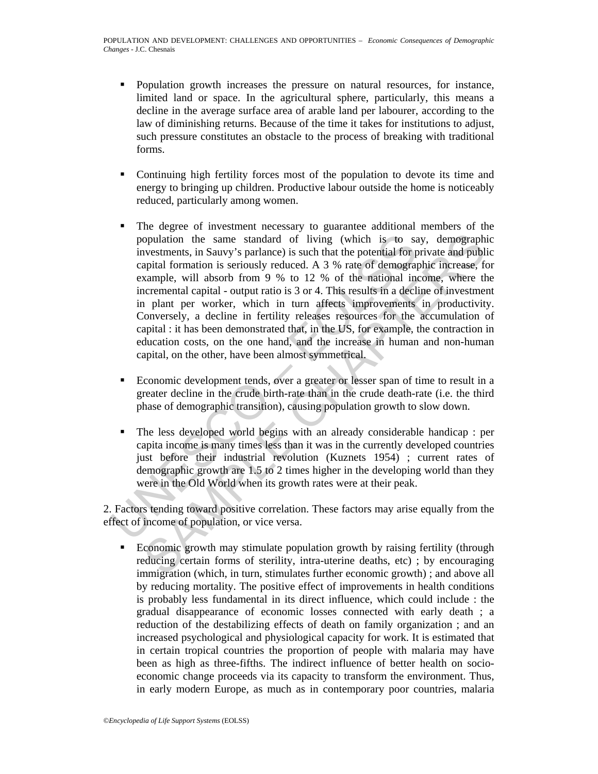- Population growth increases the pressure on natural resources, for instance, limited land or space. In the agricultural sphere, particularly, this means a decline in the average surface area of arable land per labourer, according to the law of diminishing returns. Because of the time it takes for institutions to adjust, such pressure constitutes an obstacle to the process of breaking with traditional forms.
- Continuing high fertility forces most of the population to devote its time and energy to bringing up children. Productive labour outside the home is noticeably reduced, particularly among women.
- population the same standard of living (which is to same investments, in Sauvy's parlance) is such that the potential for propartion is seriously reduced. A 3 % rate of demograpic example, will absorb from 9 % to 12 % of t opulation the same standard of living (which is to say, demographi<br>vestments, in Sauvy's parlance) is such that the potential for private and publi<br>apital formation is seriously reduced. A 3 % rate of demographie inverses, The degree of investment necessary to guarantee additional members of the population the same standard of living (which is to say, demographic investments, in Sauvy's parlance) is such that the potential for private and public capital formation is seriously reduced. A 3 % rate of demographic increase, for example, will absorb from 9 % to 12 % of the national income, where the incremental capital - output ratio is 3 or 4. This results in a decline of investment in plant per worker, which in turn affects improvements in productivity. Conversely, a decline in fertility releases resources for the accumulation of capital : it has been demonstrated that, in the US, for example, the contraction in education costs, on the one hand, and the increase in human and non-human capital, on the other, have been almost symmetrical.
	- Economic development tends, over a greater or lesser span of time to result in a greater decline in the crude birth-rate than in the crude death-rate (i.e. the third phase of demographic transition), causing population growth to slow down.
	- The less developed world begins with an already considerable handicap : per capita income is many times less than it was in the currently developed countries just before their industrial revolution (Kuznets 1954) ; current rates of demographic growth are 1.5 to 2 times higher in the developing world than they were in the Old World when its growth rates were at their peak.

2. Factors tending toward positive correlation. These factors may arise equally from the effect of income of population, or vice versa.

• Economic growth may stimulate population growth by raising fertility (through reducing certain forms of sterility, intra-uterine deaths, etc) ; by encouraging immigration (which, in turn, stimulates further economic growth) ; and above all by reducing mortality. The positive effect of improvements in health conditions is probably less fundamental in its direct influence, which could include : the gradual disappearance of economic losses connected with early death ; a reduction of the destabilizing effects of death on family organization ; and an increased psychological and physiological capacity for work. It is estimated that in certain tropical countries the proportion of people with malaria may have been as high as three-fifths. The indirect influence of better health on socioeconomic change proceeds via its capacity to transform the environment. Thus, in early modern Europe, as much as in contemporary poor countries, malaria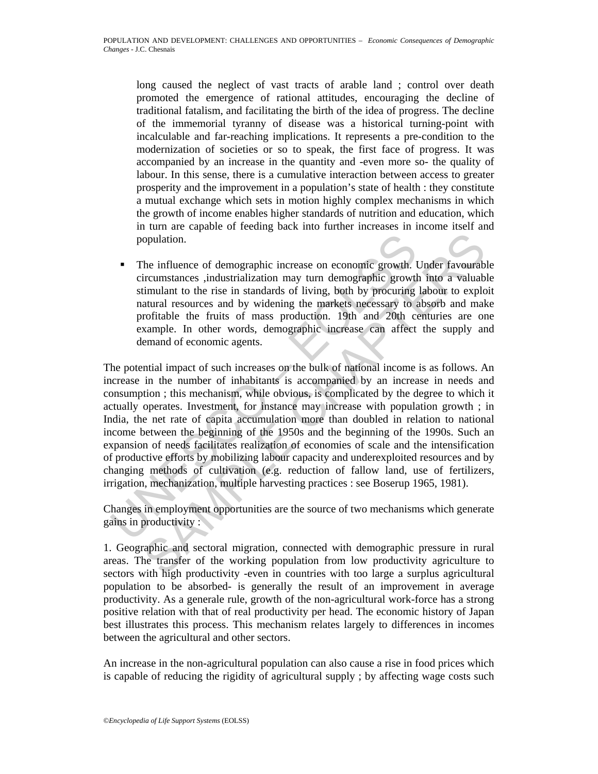long caused the neglect of vast tracts of arable land ; control over death promoted the emergence of rational attitudes, encouraging the decline of traditional fatalism, and facilitating the birth of the idea of progress. The decline of the immemorial tyranny of disease was a historical turning-point with incalculable and far-reaching implications. It represents a pre-condition to the modernization of societies or so to speak, the first face of progress. It was accompanied by an increase in the quantity and -even more so- the quality of labour. In this sense, there is a cumulative interaction between access to greater prosperity and the improvement in a population's state of health : they constitute a mutual exchange which sets in motion highly complex mechanisms in which the growth of income enables higher standards of nutrition and education, which in turn are capable of feeding back into further increases in income itself and population.

 The influence of demographic increase on economic growth. Under favourable circumstances ,industrialization may turn demographic growth into a valuable stimulant to the rise in standards of living, both by procuring labour to exploit natural resources and by widening the markets necessary to absorb and make profitable the fruits of mass production. 19th and 20th centuries are one example. In other words, demographic increase can affect the supply and demand of economic agents.

**FROM THE SCONDIGE THE SCONDIGE SET AS THE SCONDIGED THEORY (SIGNATIST THEORY OR EXERCIST THEORY SIGNATIST SURFALLS IN A CONDUCT THE STATE INTIGATIST THEORY INTEGRED THEORY INTEGRED THEORY INTEGRED THEORY INTEGRED THEORY I** opulation.<br>
the influence of demographic increase on economic growth. Under favourabl<br>
ricumstances , industrialization may turn demographic growth into a valuab<br>
timulant to the rise in standards of living, both by procur The potential impact of such increases on the bulk of national income is as follows. An increase in the number of inhabitants is accompanied by an increase in needs and consumption ; this mechanism, while obvious, is complicated by the degree to which it actually operates. Investment, for instance may increase with population growth ; in India, the net rate of capita accumulation more than doubled in relation to national income between the beginning of the 1950s and the beginning of the 1990s. Such an expansion of needs facilitates realization of economies of scale and the intensification of productive efforts by mobilizing labour capacity and underexploited resources and by changing methods of cultivation (e.g. reduction of fallow land, use of fertilizers, irrigation, mechanization, multiple harvesting practices : see Boserup 1965, 1981).

Changes in employment opportunities are the source of two mechanisms which generate gains in productivity :

1. Geographic and sectoral migration, connected with demographic pressure in rural areas. The transfer of the working population from low productivity agriculture to sectors with high productivity -even in countries with too large a surplus agricultural population to be absorbed- is generally the result of an improvement in average productivity. As a generale rule, growth of the non-agricultural work-force has a strong positive relation with that of real productivity per head. The economic history of Japan best illustrates this process. This mechanism relates largely to differences in incomes between the agricultural and other sectors.

An increase in the non-agricultural population can also cause a rise in food prices which is capable of reducing the rigidity of agricultural supply ; by affecting wage costs such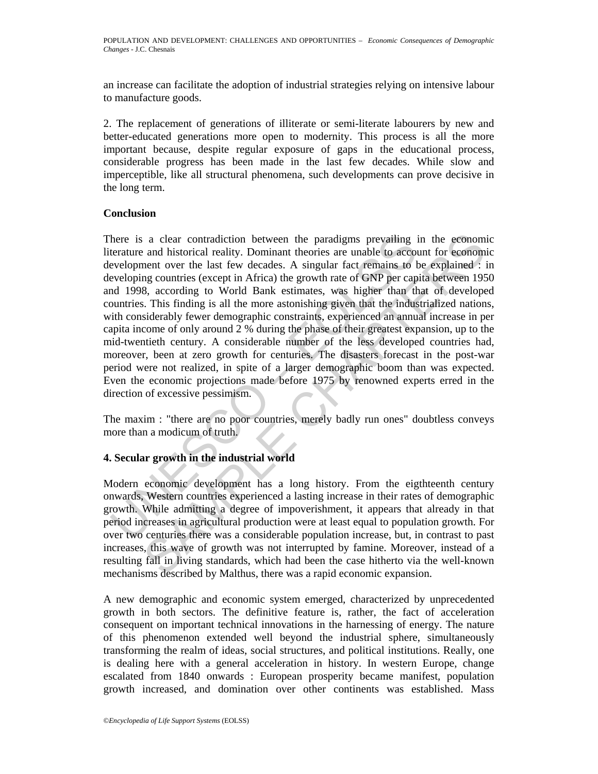an increase can facilitate the adoption of industrial strategies relying on intensive labour to manufacture goods.

2. The replacement of generations of illiterate or semi-literate labourers by new and better-educated generations more open to modernity. This process is all the more important because, despite regular exposure of gaps in the educational process, considerable progress has been made in the last few decades. While slow and imperceptible, like all structural phenomena, such developments can prove decisive in the long term.

#### **Conclusion**

here is a clear contradiction between the paradigms prevailing in<br>terature and historical reality. Dominant theories are unable to acco<br>evvelopment over the last few decades. A singular fact remains to<br>evvelopmig countries a clear contradiction between the paradigms prevailing in the economic and historical reality. Dominant theories are unable to account for economic<br>enent over the last tew decades. A singular fact remains to be explained There is a clear contradiction between the paradigms prevailing in the economic literature and historical reality. Dominant theories are unable to account for economic development over the last few decades. A singular fact remains to be explained : in developing countries (except in Africa) the growth rate of GNP per capita between 1950 and 1998, according to World Bank estimates, was higher than that of developed countries. This finding is all the more astonishing given that the industrialized nations, with considerably fewer demographic constraints, experienced an annual increase in per capita income of only around 2 % during the phase of their greatest expansion, up to the mid-twentieth century. A considerable number of the less developed countries had, moreover, been at zero growth for centuries. The disasters forecast in the post-war period were not realized, in spite of a larger demographic boom than was expected. Even the economic projections made before 1975 by renowned experts erred in the direction of excessive pessimism.

The maxim : "there are no poor countries, merely badly run ones" doubtless conveys more than a modicum of truth.

# **4. Secular growth in the industrial world**

Modern economic development has a long history. From the eigthteenth century onwards, Western countries experienced a lasting increase in their rates of demographic growth. While admitting a degree of impoverishment, it appears that already in that period increases in agricultural production were at least equal to population growth. For over two centuries there was a considerable population increase, but, in contrast to past increases, this wave of growth was not interrupted by famine. Moreover, instead of a resulting fall in living standards, which had been the case hitherto via the well-known mechanisms described by Malthus, there was a rapid economic expansion.

A new demographic and economic system emerged, characterized by unprecedented growth in both sectors. The definitive feature is, rather, the fact of acceleration consequent on important technical innovations in the harnessing of energy. The nature of this phenomenon extended well beyond the industrial sphere, simultaneously transforming the realm of ideas, social structures, and political institutions. Really, one is dealing here with a general acceleration in history. In western Europe, change escalated from 1840 onwards : European prosperity became manifest, population growth increased, and domination over other continents was established. Mass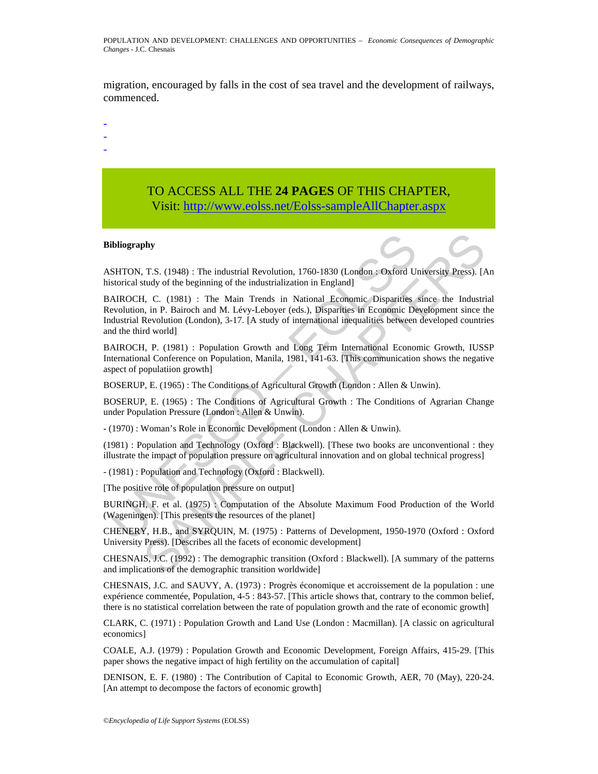migration, encouraged by falls in the cost of sea travel and the development of railways, commenced.

-

- -
- -

# TO ACCESS ALL THE **24 PAGES** OF THIS CHAPTER, Visit[: http://www.eolss.net/Eolss-sampleAllChapter.aspx](https://www.eolss.net/ebooklib/sc_cart.aspx?File=E1-13-02-04)

#### **Bibliography**

ASHTON, T.S. (1948) : The industrial Revolution, 1760-1830 (London : Oxford University Press). [An historical study of the beginning of the industrialization in England]

ibliography<br>
SHTON, T.S. (1948): The industrial Revolution, 1760-1830 (London : Oxford Unitsorical study of the beginning of the industrialization in England]<br>
AIROCCH, C. (1981): The Main Trends in National Economic Despa **Phy**<br>
T.S. (1948) : The industrial Revolution, 1760-1830 (London : Oxford University Press). [A<br>
itudy of the beginning of the industrialization in England]<br>
I. C. (1981) : The Main Trends in National Economic Disparitie BAIROCH, C. (1981) : The Main Trends in National Economic Disparities since the Industrial Revolution, in P. Bairoch and M. Lévy-Leboyer (eds.), Disparities in Economic Development since the Industrial Revolution (London), 3-17. [A study of international inequalities between developed countries and the third world]

BAIROCH, P. (1981) : Population Growth and Long Term International Economic Growth, IUSSP International Conference on Population, Manila, 1981, 141-63. [This communication shows the negative aspect of populatiion growth]

BOSERUP, E. (1965) : The Conditions of Agricultural Growth (London : Allen & Unwin).

BOSERUP, E. (1965) : The Conditions of Agricultural Growth : The Conditions of Agrarian Change under Population Pressure (London : Allen & Unwin).

- (1970) : Woman's Role in Economic Development (London : Allen & Unwin).

(1981) : Population and Technology (Oxford : Blackwell). [These two books are unconventional : they illustrate the impact of population pressure on agricultural innovation and on global technical progress]

- (1981) : Population and Technology (Oxford : Blackwell).

[The positive role of population pressure on output]

BURINGH, F. et al. (1975) : Computation of the Absolute Maximum Food Production of the World (Wageningen). [This presents the resources of the planet]

CHENERY, H.B., and SYRQUIN, M. (1975) : Patterns of Development, 1950-1970 (Oxford : Oxford University Press). [Describes all the facets of economic development]

CHESNAIS, J.C. (1992) : The demographic transition (Oxford : Blackwell). [A summary of the patterns and implications of the demographic transition worldwide]

CHESNAIS, J.C. and SAUVY, A. (1973) : Progrès économique et accroissement de la population : une expérience commentée, Population, 4-5 : 843-57. [This article shows that, contrary to the common belief, there is no statistical correlation between the rate of population growth and the rate of economic growth]

CLARK, C. (1971) : Population Growth and Land Use (London : Macmillan). [A classic on agricultural economics]

COALE, A.J. (1979) : Population Growth and Economic Development, Foreign Affairs, 415-29. [This paper shows the negative impact of high fertility on the accumulation of capital]

DENISON, E. F. (1980) : The Contribution of Capital to Economic Growth, AER, 70 (May), 220-24. [An attempt to decompose the factors of economic growth]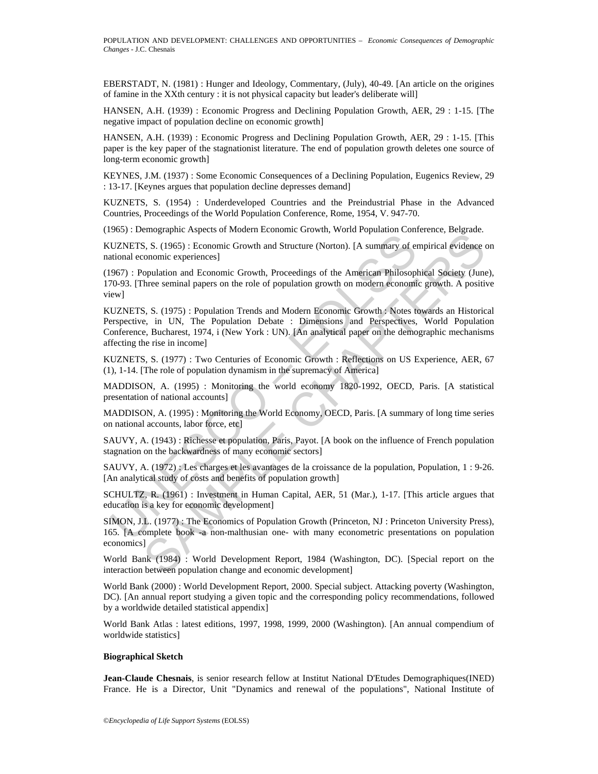EBERSTADT, N. (1981) : Hunger and Ideology, Commentary, (July), 40-49. [An article on the origines of famine in the XXth century : it is not physical capacity but leader's deliberate will]

HANSEN, A.H. (1939) : Economic Progress and Declining Population Growth, AER, 29 : 1-15. [The negative impact of population decline on economic growth]

HANSEN, A.H. (1939) : Economic Progress and Declining Population Growth, AER, 29 : 1-15. [This paper is the key paper of the stagnationist literature. The end of population growth deletes one source of long-term economic growth]

KEYNES, J.M. (1937) : Some Economic Consequences of a Declining Population, Eugenics Review, 29 : 13-17. [Keynes argues that population decline depresses demand]

KUZNETS, S. (1954) : Underdeveloped Countries and the Preindustrial Phase in the Advanced Countries, Proceedings of the World Population Conference, Rome, 1954, V. 947-70.

(1965) : Demographic Aspects of Modern Economic Growth, World Population Conference, Belgrade.

KUZNETS, S. (1965) : Economic Growth and Structure (Norton). [A summary of empirical evidence on national economic experiences]

(1967) : Population and Economic Growth, Proceedings of the American Philosophical Society (June), 170-93. [Three seminal papers on the role of population growth on modern economic growth. A positive view]

UZNETS, S. (1965): Economic Growth and Structure (Norton). [A summary of er<br>UZNETS, S. (1965): Economic Growth and Structure (Norton). [A summary of er<br>tional economic experiences]<br>967): Population and Economic Growth, Pr Enter Aspects of two-tent Leonomic Coveta, worth optimate Convention-<br>S. S. (1965): Economic Growth and Structure (Norton). [A summary of empirical gridene conomic experiences]<br>opulation and Economic Growth, Proceedings of KUZNETS, S. (1975) : Population Trends and Modern Economic Growth : Notes towards an Historical Perspective, in UN, The Population Debate : Dimensions and Perspectives, World Population Conference, Bucharest, 1974, i (New York : UN). [An analytical paper on the demographic mechanisms affecting the rise in income]

KUZNETS, S. (1977) : Two Centuries of Economic Growth : Reflections on US Experience, AER, 67 (1), 1-14. [The role of population dynamism in the supremacy of America]

MADDISON, A. (1995) : Monitoring the world economy 1820-1992, OECD, Paris. [A statistical presentation of national accounts]

MADDISON, A. (1995) : Monitoring the World Economy, OECD, Paris. [A summary of long time series on national accounts, labor force, etc]

SAUVY, A. (1943) : Richesse et population, Paris, Payot. [A book on the influence of French population stagnation on the backwardness of many economic sectors]

SAUVY, A. (1972) : Les charges et les avantages de la croissance de la population, Population, 1 : 9-26. [An analytical study of costs and benefits of population growth]

SCHULTZ, R. (1961) : Investment in Human Capital, AER, 51 (Mar.), 1-17. [This article argues that education is a key for economic development]

SIMON, J.L. (1977) : The Economics of Population Growth (Princeton, NJ : Princeton University Press), 165. [A complete book -a non-malthusian one- with many econometric presentations on population economics]

World Bank (1984) : World Development Report, 1984 (Washington, DC). [Special report on the interaction between population change and economic development]

World Bank (2000) : World Development Report, 2000. Special subject. Attacking poverty (Washington, DC). [An annual report studying a given topic and the corresponding policy recommendations, followed by a worldwide detailed statistical appendix]

World Bank Atlas : latest editions, 1997, 1998, 1999, 2000 (Washington). [An annual compendium of worldwide statistics]

#### **Biographical Sketch**

**Jean-Claude Chesnais**, is senior research fellow at Institut National D'Etudes Demographiques(INED) France. He is a Director, Unit "Dynamics and renewal of the populations", National Institute of